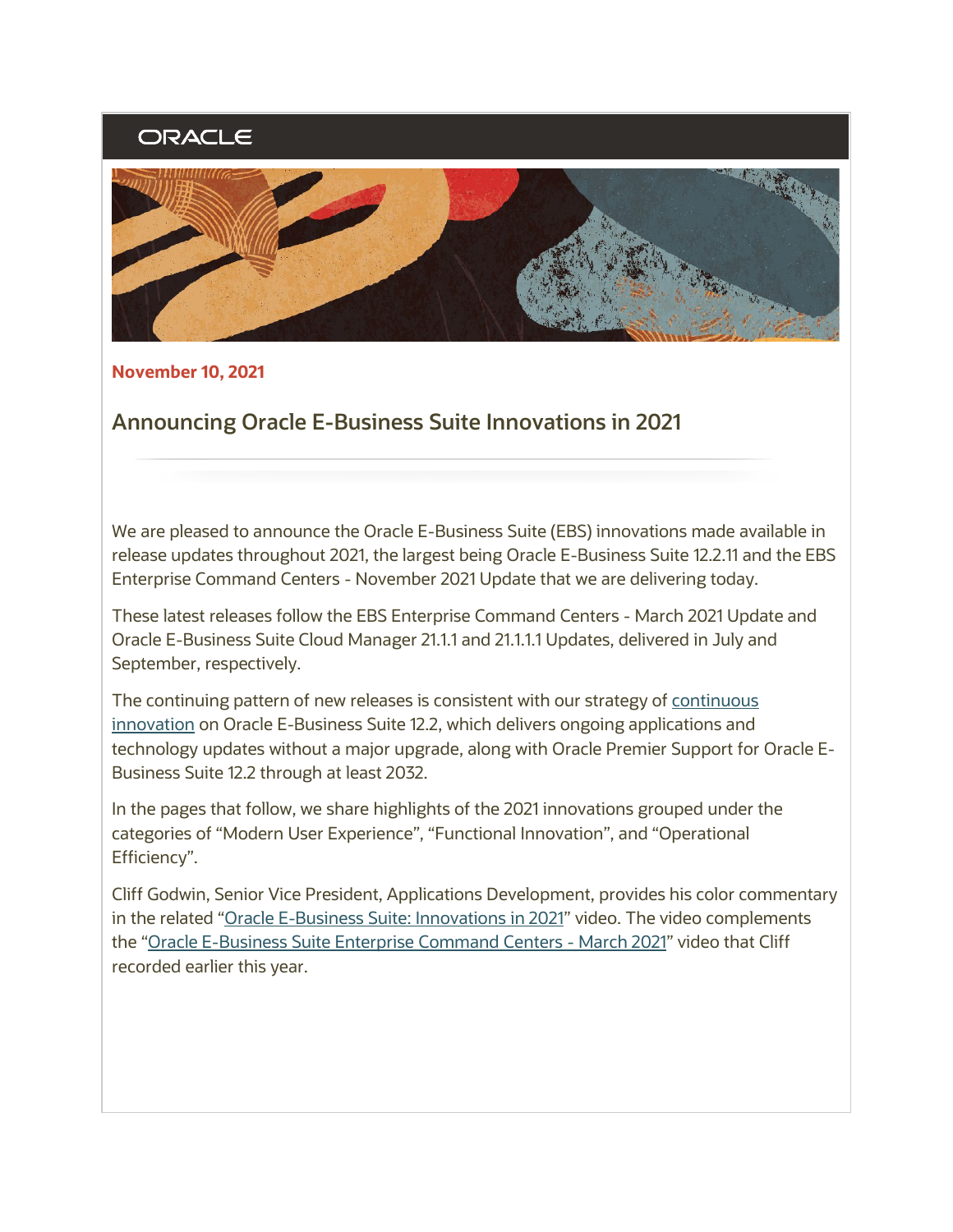# ORACLE



**November 10, 2021** 

## **Announcing Oracle E-Business Suite Innovations in 2021**

We are pleased to announce the Oracle E-Business Suite (EBS) innovations made available in release updates throughout 2021, the largest being Oracle E-Business Suite 12.2.11 and the EBS Enterprise Command Centers - November 2021 Update that we are delivering today.

These latest releases follow the EBS Enterprise Command Centers - March 2021 Update and Oracle E-Business Suite Cloud Manager 21.1.1 and 21.1.1.1 Updates, delivered in July and September, respectively.

The continuing pattern of new releases is consistent with our strategy of [continuous](https://www.oracle.com/us/products/applications/ebs-suite-12-2-announcement-5172019.pdf)  [innovation](https://www.oracle.com/us/products/applications/ebs-suite-12-2-announcement-5172019.pdf) on Oracle E-Business Suite 12.2, which delivers ongoing applications and technology updates without a major upgrade, along with Oracle Premier Support for Oracle E-Business Suite 12.2 through at least 2032.

In the pages that follow, we share highlights of the 2021 innovations grouped under the categories of "Modern User Experience", "Functional Innovation", and "Operational Efficiency".

Cliff Godwin, Senior Vice President, Applications Development, provides his color commentary in the related ["Oracle E-Business Suite: Innovations in 2021"](https://learn.oracle.com/ols/course/50662/101089) video. The video complements the ["Oracle E-Business Suite Enterprise Command Centers - March 2021"](https://learn.oracle.com/ols/course/50662/88071) video that Cliff recorded earlier this year.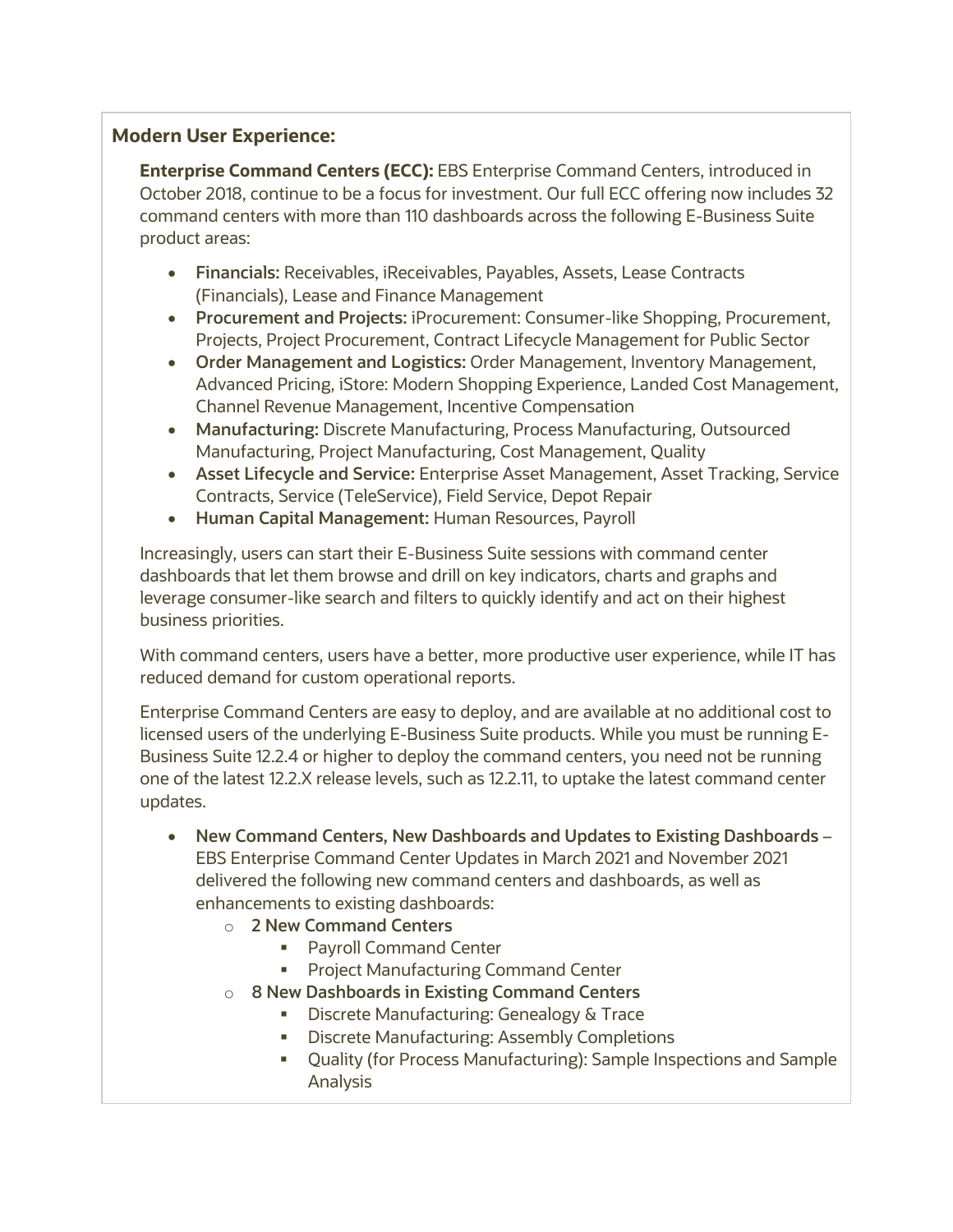## **Modern User Experience:**

**Enterprise Command Centers (ECC):** EBS Enterprise Command Centers, introduced in October 2018, continue to be a focus for investment. Our full ECC offering now includes 32 command centers with more than 110 dashboards across the following E-Business Suite product areas:

- **Financials:** Receivables, iReceivables, Payables, Assets, Lease Contracts (Financials), Lease and Finance Management
- **Procurement and Projects:** iProcurement: Consumer-like Shopping, Procurement, Projects, Project Procurement, Contract Lifecycle Management for Public Sector
- **Order Management and Logistics:** Order Management, Inventory Management, Advanced Pricing, iStore: Modern Shopping Experience, Landed Cost Management, Channel Revenue Management, Incentive Compensation
- **Manufacturing:** Discrete Manufacturing, Process Manufacturing, Outsourced Manufacturing, Project Manufacturing, Cost Management, Quality
- **Asset Lifecycle and Service:** Enterprise Asset Management, Asset Tracking, Service Contracts, Service (TeleService), Field Service, Depot Repair
- **Human Capital Management:** Human Resources, Payroll

Increasingly, users can start their E-Business Suite sessions with command center dashboards that let them browse and drill on key indicators, charts and graphs and leverage consumer-like search and filters to quickly identify and act on their highest business priorities.

With command centers, users have a better, more productive user experience, while IT has reduced demand for custom operational reports.

Enterprise Command Centers are easy to deploy, and are available at no additional cost to licensed users of the underlying E-Business Suite products. While you must be running E-Business Suite 12.2.4 or higher to deploy the command centers, you need not be running one of the latest 12.2.X release levels, such as 12.2.11, to uptake the latest command center updates.

- **New Command Centers, New Dashboards and Updates to Existing Dashboards** EBS Enterprise Command Center Updates in March 2021 and November 2021 delivered the following new command centers and dashboards, as well as enhancements to existing dashboards:
	- o **2 New Command Centers**
		- **Payroll Command Center**
		- **Project Manufacturing Command Center**
	- o **8 New Dashboards in Existing Command Centers**
		- **Discrete Manufacturing: Genealogy & Trace**
		- **Discrete Manufacturing: Assembly Completions**
		- Quality (for Process Manufacturing): Sample Inspections and Sample Analysis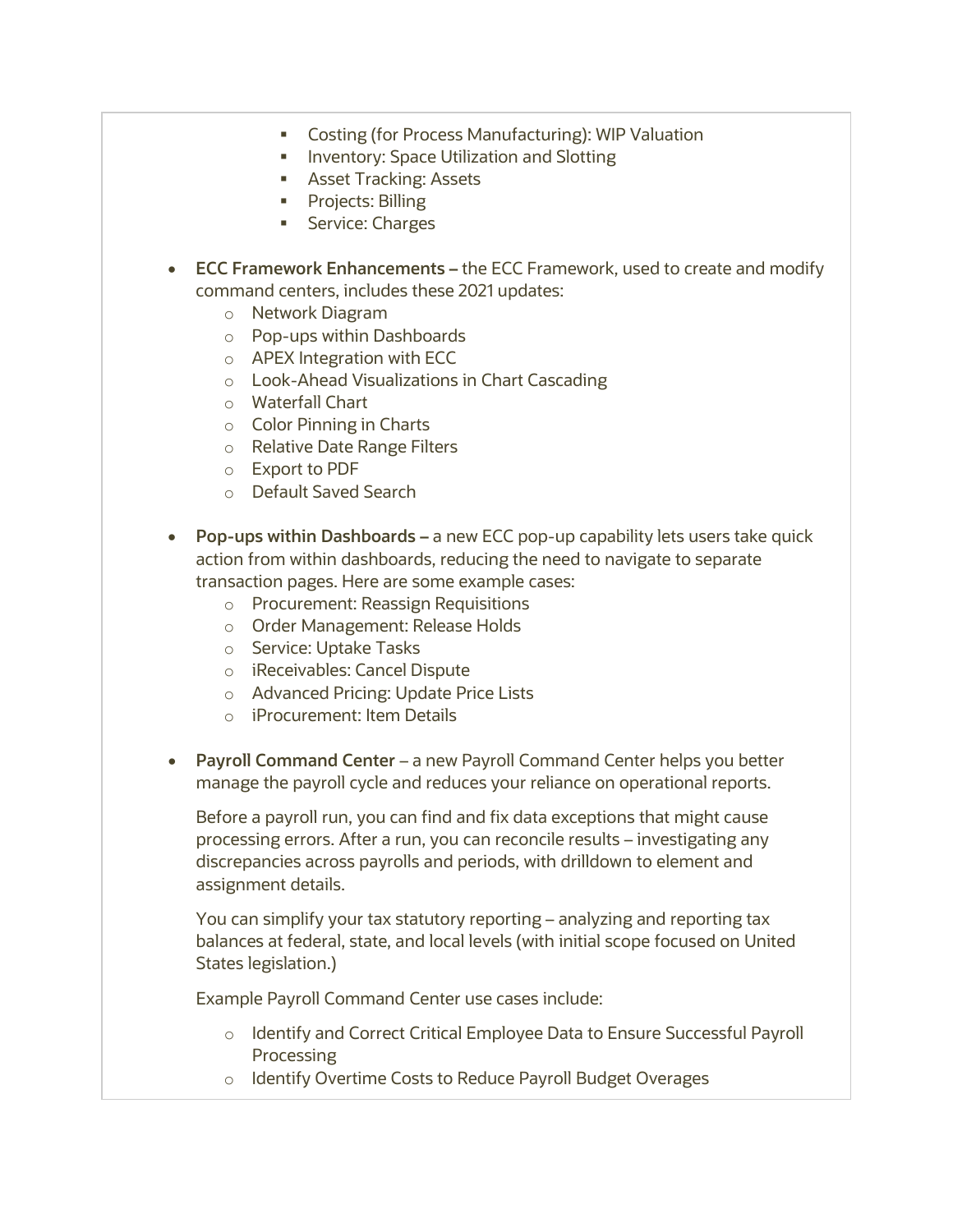- **Costing (for Process Manufacturing): WIP Valuation**
- **Inventory: Space Utilization and Slotting**
- **Asset Tracking: Assets**
- **Projects: Billing**
- **Service: Charges**
- **ECC Framework Enhancements –** the ECC Framework, used to create and modify command centers, includes these 2021 updates:
	- o Network Diagram
	- o Pop-ups within Dashboards
	- o APEX Integration with ECC
	- o Look-Ahead Visualizations in Chart Cascading
	- o Waterfall Chart
	- o Color Pinning in Charts
	- o Relative Date Range Filters
	- o Export to PDF
	- o Default Saved Search
- **Pop-ups within Dashboards –** a new ECC pop-up capability lets users take quick action from within dashboards, reducing the need to navigate to separate transaction pages. Here are some example cases:
	- o Procurement: Reassign Requisitions
	- o Order Management: Release Holds
	- o Service: Uptake Tasks
	- o iReceivables: Cancel Dispute
	- o Advanced Pricing: Update Price Lists
	- o iProcurement: Item Details
- **Payroll Command Center** a new Payroll Command Center helps you better manage the payroll cycle and reduces your reliance on operational reports.

Before a payroll run, you can find and fix data exceptions that might cause processing errors. After a run, you can reconcile results – investigating any discrepancies across payrolls and periods, with drilldown to element and assignment details.

You can simplify your tax statutory reporting – analyzing and reporting tax balances at federal, state, and local levels (with initial scope focused on United States legislation.)

Example Payroll Command Center use cases include:

- o Identify and Correct Critical Employee Data to Ensure Successful Payroll Processing
- o Identify Overtime Costs to Reduce Payroll Budget Overages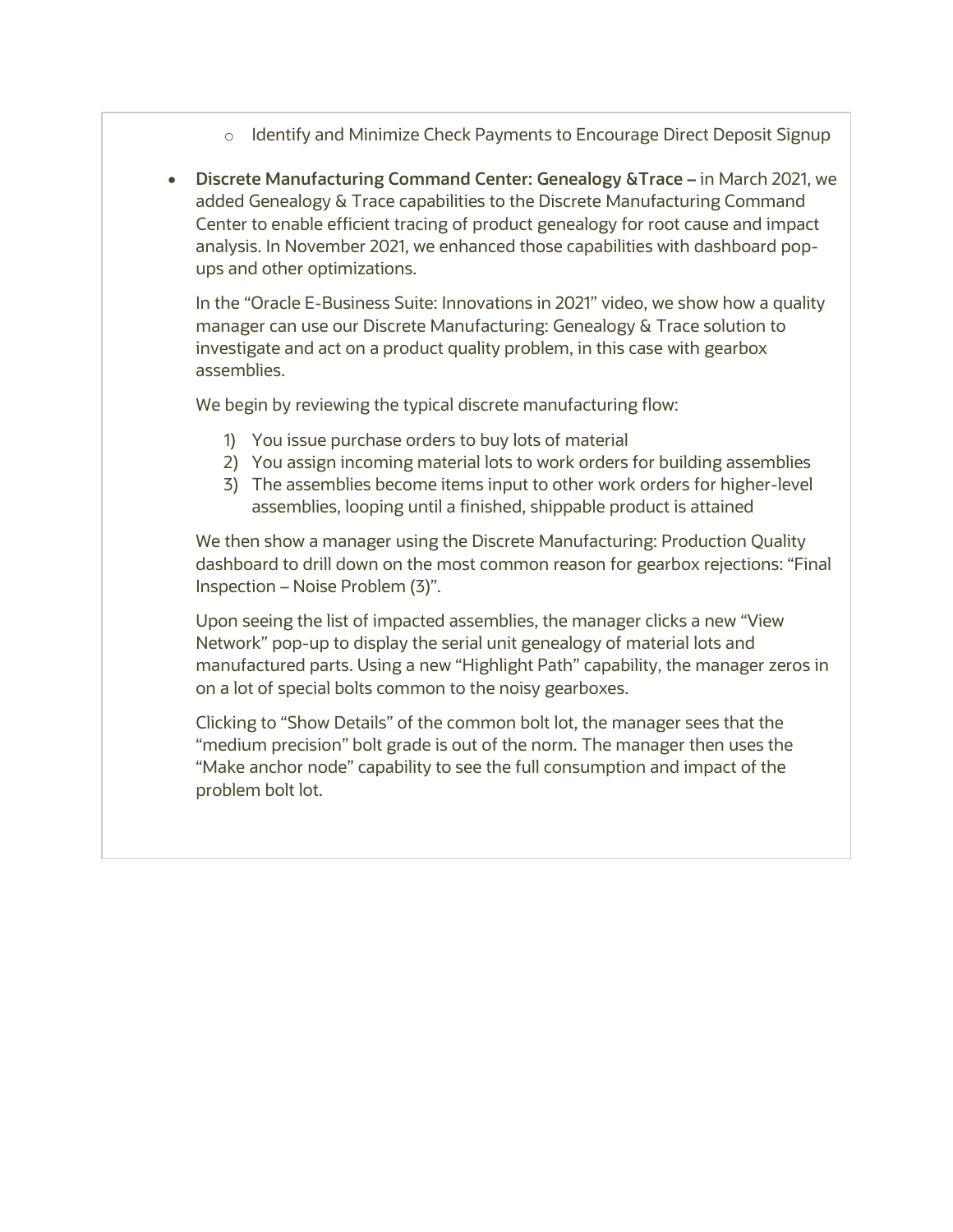- $\circ$  Identify and Minimize Check Payments to Encourage Direct Deposit Signup
- **Discrete Manufacturing Command Center: Genealogy &Trace –** in March 2021, we added Genealogy & Trace capabilities to the Discrete Manufacturing Command Center to enable efficient tracing of product genealogy for root cause and impact analysis. In November 2021, we enhanced those capabilities with dashboard popups and other optimizations.

In the "Oracle E-Business Suite: Innovations in 2021" video, we show how a quality manager can use our Discrete Manufacturing: Genealogy & Trace solution to investigate and act on a product quality problem, in this case with gearbox assemblies.

We begin by reviewing the typical discrete manufacturing flow:

- 1) You issue purchase orders to buy lots of material
- 2) You assign incoming material lots to work orders for building assemblies
- 3) The assemblies become items input to other work orders for higher-level assemblies, looping until a finished, shippable product is attained

We then show a manager using the Discrete Manufacturing: Production Quality dashboard to drill down on the most common reason for gearbox rejections: "Final Inspection – Noise Problem (3)".

Upon seeing the list of impacted assemblies, the manager clicks a new "View Network" pop-up to display the serial unit genealogy of material lots and manufactured parts. Using a new "Highlight Path" capability, the manager zeros in on a lot of special bolts common to the noisy gearboxes.

Clicking to "Show Details" of the common bolt lot, the manager sees that the "medium precision" bolt grade is out of the norm. The manager then uses the "Make anchor node" capability to see the full consumption and impact of the problem bolt lot.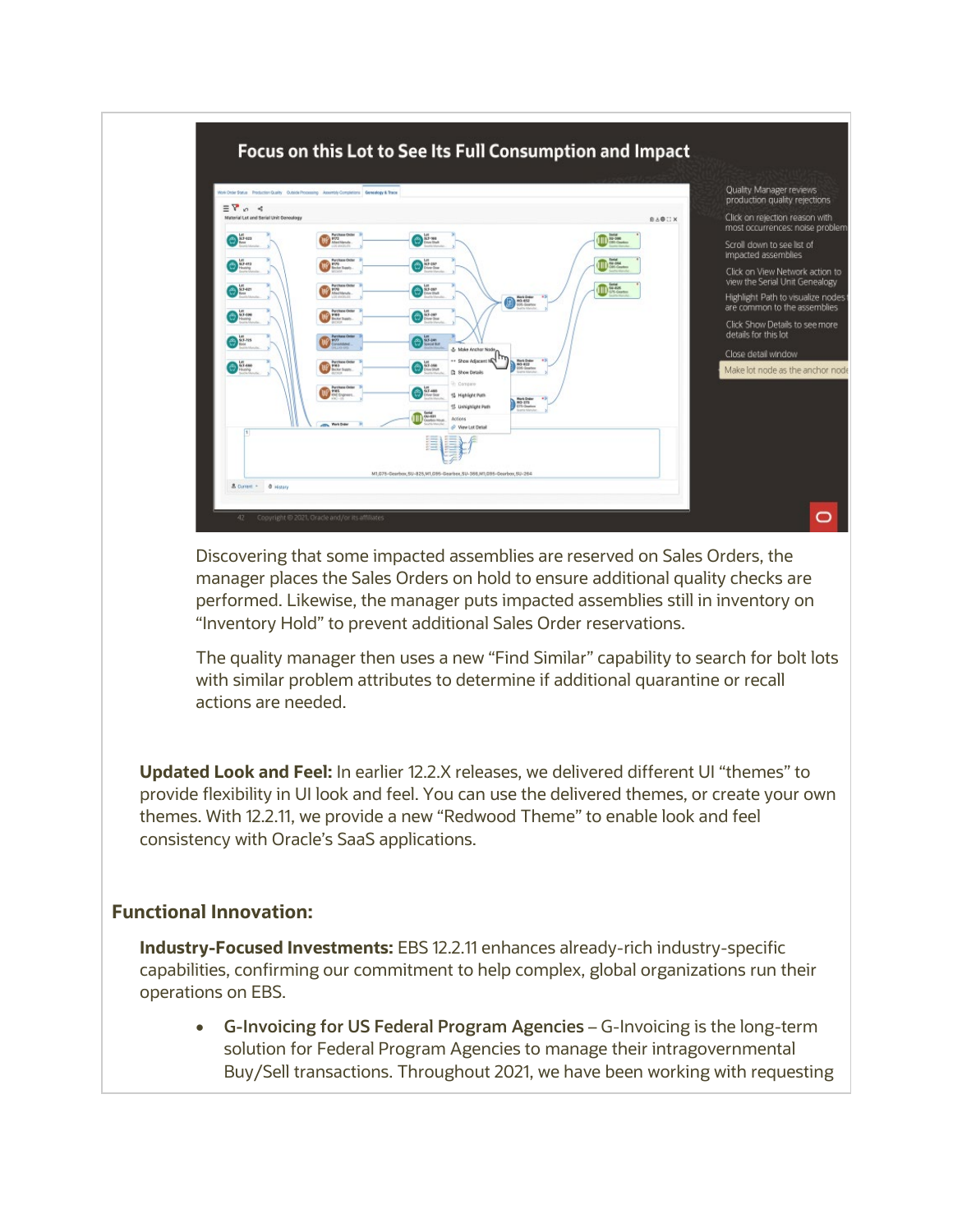

Discovering that some impacted assemblies are reserved on Sales Orders, the manager places the Sales Orders on hold to ensure additional quality checks are performed. Likewise, the manager puts impacted assemblies still in inventory on "Inventory Hold" to prevent additional Sales Order reservations.

The quality manager then uses a new "Find Similar" capability to search for bolt lots with similar problem attributes to determine if additional quarantine or recall actions are needed.

**Updated Look and Feel:** In earlier 12.2.X releases, we delivered different UI "themes" to provide flexibility in UI look and feel. You can use the delivered themes, or create your own themes. With 12.2.11, we provide a new "Redwood Theme" to enable look and feel consistency with Oracle's SaaS applications.

#### **Functional Innovation:**

**Industry-Focused Investments:** EBS 12.2.11 enhances already-rich industry-specific capabilities, confirming our commitment to help complex, global organizations run their operations on EBS.

• **G-Invoicing for US Federal Program Agencies** – G-Invoicing is the long-term solution for Federal Program Agencies to manage their intragovernmental Buy/Sell transactions. Throughout 2021, we have been working with requesting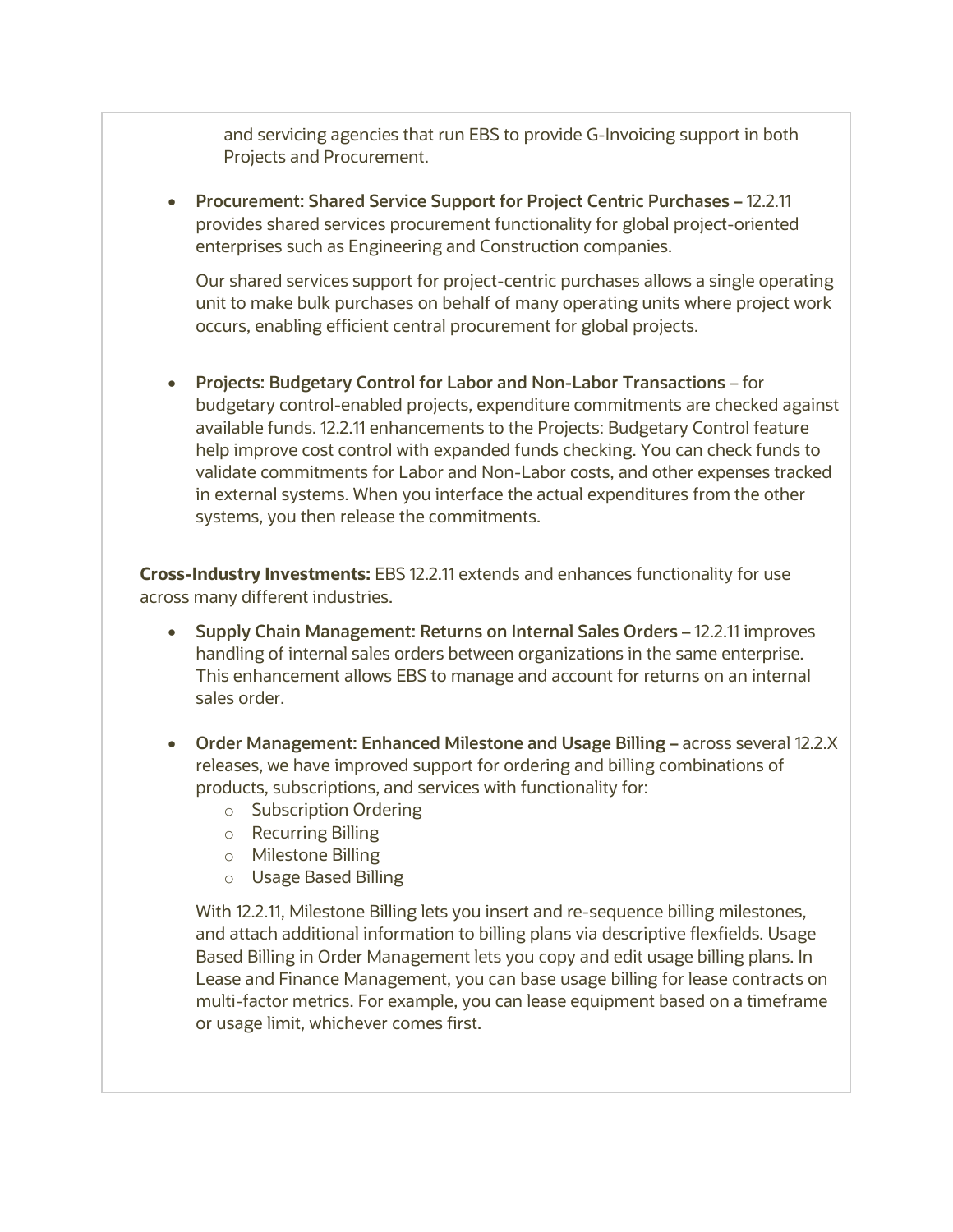and servicing agencies that run EBS to provide G-Invoicing support in both Projects and Procurement.

• **Procurement: Shared Service Support for Project Centric Purchases –** 12.2.11 provides shared services procurement functionality for global project-oriented enterprises such as Engineering and Construction companies.

Our shared services support for project-centric purchases allows a single operating unit to make bulk purchases on behalf of many operating units where project work occurs, enabling efficient central procurement for global projects.

• **Projects: Budgetary Control for Labor and Non-Labor Transactions** – for budgetary control-enabled projects, expenditure commitments are checked against available funds. 12.2.11 enhancements to the Projects: Budgetary Control feature help improve cost control with expanded funds checking. You can check funds to validate commitments for Labor and Non-Labor costs, and other expenses tracked in external systems. When you interface the actual expenditures from the other systems, you then release the commitments.

**Cross-Industry Investments:** EBS 12.2.11 extends and enhances functionality for use across many different industries.

- **Supply Chain Management: Returns on Internal Sales Orders –** 12.2.11 improves handling of internal sales orders between organizations in the same enterprise. This enhancement allows EBS to manage and account for returns on an internal sales order.
- **Order Management: Enhanced Milestone and Usage Billing –** across several 12.2.X releases, we have improved support for ordering and billing combinations of products, subscriptions, and services with functionality for:
	- o Subscription Ordering
	- o Recurring Billing
	- o Milestone Billing
	- o Usage Based Billing

With 12.2.11, Milestone Billing lets you insert and re-sequence billing milestones, and attach additional information to billing plans via descriptive flexfields. Usage Based Billing in Order Management lets you copy and edit usage billing plans. In Lease and Finance Management, you can base usage billing for lease contracts on multi-factor metrics. For example, you can lease equipment based on a timeframe or usage limit, whichever comes first.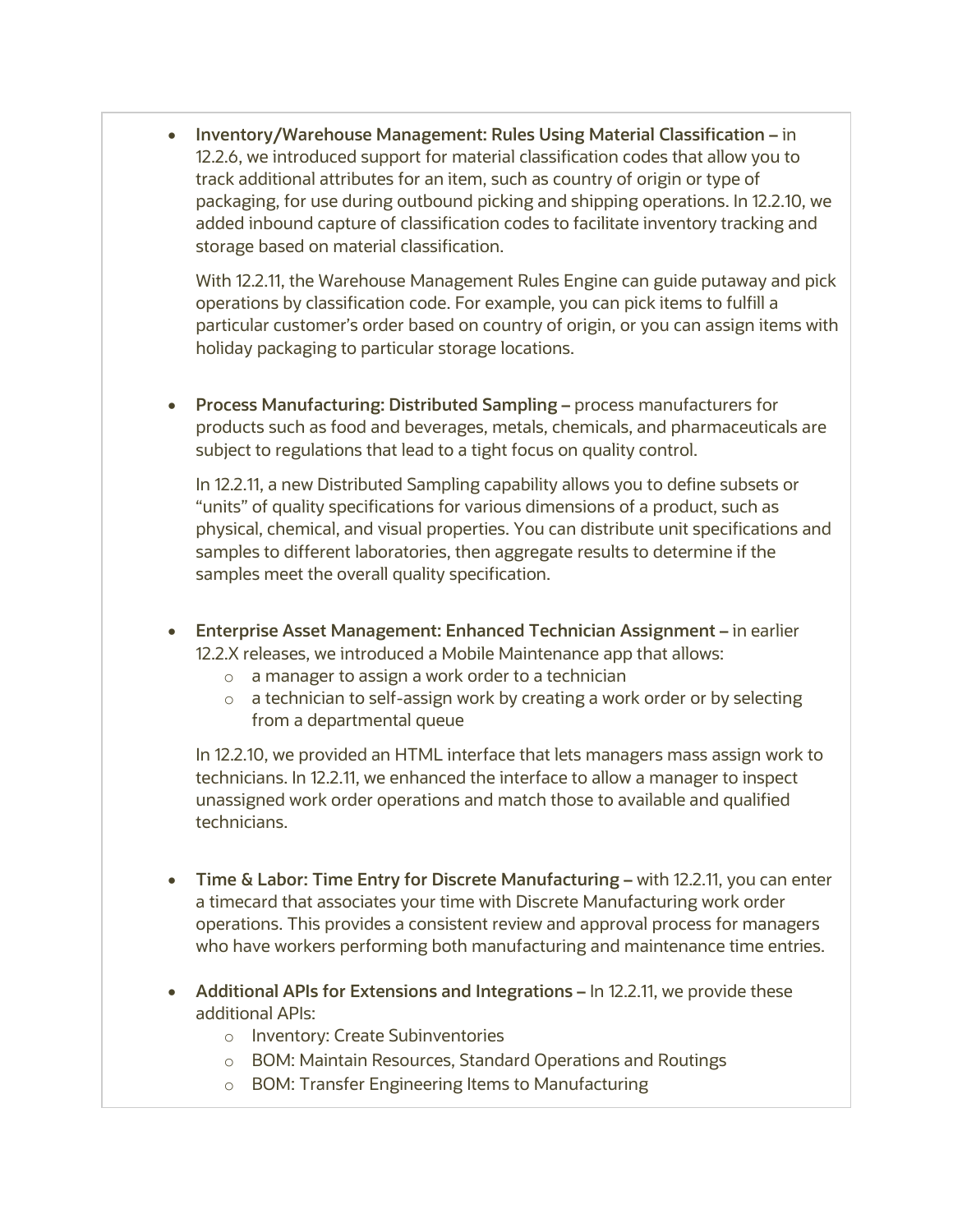• **Inventory/Warehouse Management: Rules Using Material Classification –** in 12.2.6, we introduced support for material classification codes that allow you to track additional attributes for an item, such as country of origin or type of packaging, for use during outbound picking and shipping operations. In 12.2.10, we added inbound capture of classification codes to facilitate inventory tracking and storage based on material classification.

With 12.2.11, the Warehouse Management Rules Engine can guide putaway and pick operations by classification code. For example, you can pick items to fulfill a particular customer's order based on country of origin, or you can assign items with holiday packaging to particular storage locations.

• **Process Manufacturing: Distributed Sampling –** process manufacturers for products such as food and beverages, metals, chemicals, and pharmaceuticals are subject to regulations that lead to a tight focus on quality control.

In 12.2.11, a new Distributed Sampling capability allows you to define subsets or "units" of quality specifications for various dimensions of a product, such as physical, chemical, and visual properties. You can distribute unit specifications and samples to different laboratories, then aggregate results to determine if the samples meet the overall quality specification.

- **Enterprise Asset Management: Enhanced Technician Assignment –** in earlier 12.2.X releases, we introduced a Mobile Maintenance app that allows:
	- o a manager to assign a work order to a technician
	- o a technician to self-assign work by creating a work order or by selecting from a departmental queue

In 12.2.10, we provided an HTML interface that lets managers mass assign work to technicians. In 12.2.11, we enhanced the interface to allow a manager to inspect unassigned work order operations and match those to available and qualified technicians.

- **Time & Labor: Time Entry for Discrete Manufacturing –** with 12.2.11, you can enter a timecard that associates your time with Discrete Manufacturing work order operations. This provides a consistent review and approval process for managers who have workers performing both manufacturing and maintenance time entries.
- **Additional APIs for Extensions and Integrations –** In 12.2.11, we provide these additional APIs:
	- o Inventory: Create Subinventories
	- o BOM: Maintain Resources, Standard Operations and Routings
	- o BOM: Transfer Engineering Items to Manufacturing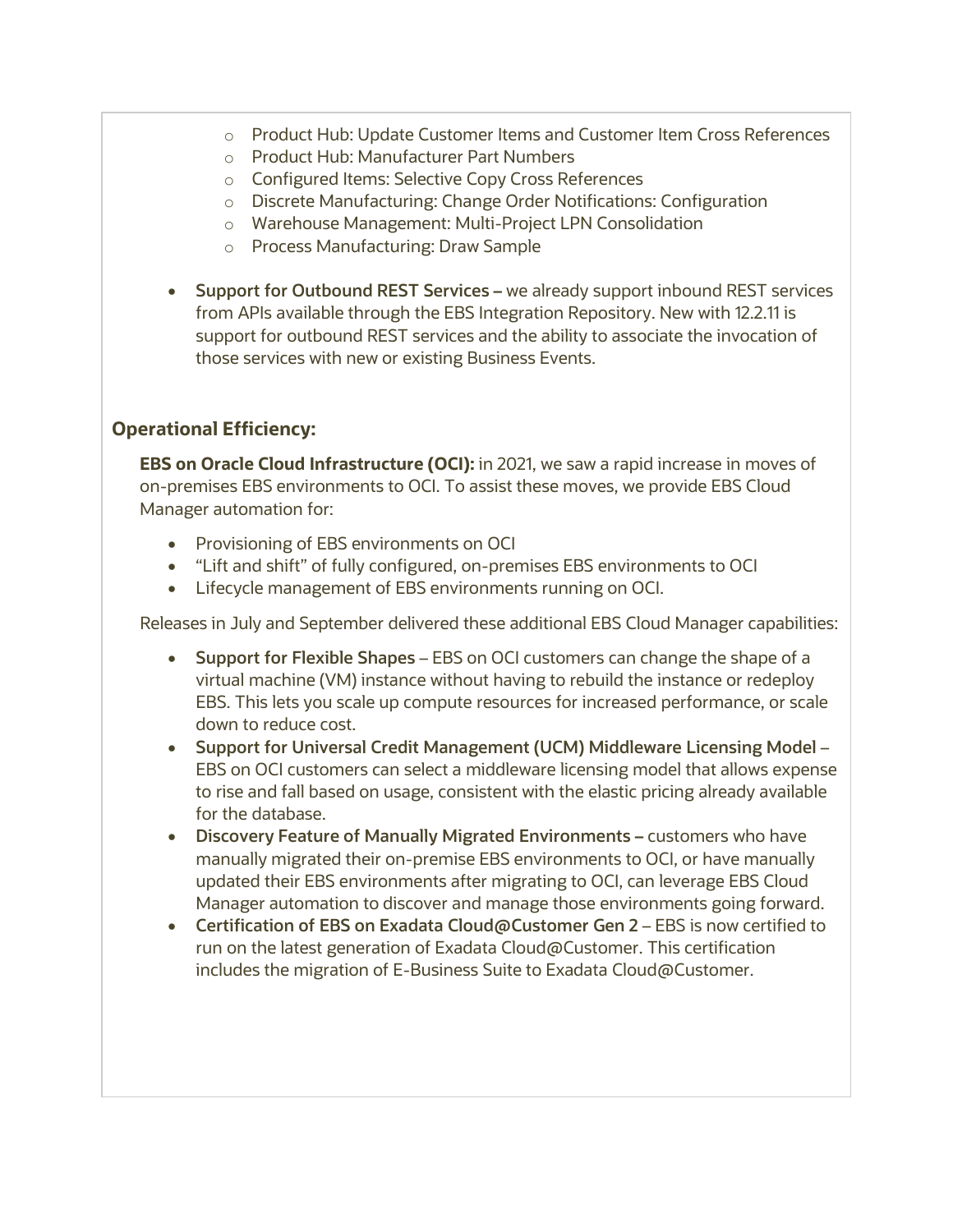- o Product Hub: Update Customer Items and Customer Item Cross References
- o Product Hub: Manufacturer Part Numbers
- o Configured Items: Selective Copy Cross References
- o Discrete Manufacturing: Change Order Notifications: Configuration
- o Warehouse Management: Multi-Project LPN Consolidation
- o Process Manufacturing: Draw Sample
- **Support for Outbound REST Services –** we already support inbound REST services from APIs available through the EBS Integration Repository. New with 12.2.11 is support for outbound REST services and the ability to associate the invocation of those services with new or existing Business Events.

### **Operational Efficiency:**

**EBS on Oracle Cloud Infrastructure (OCI):** in 2021, we saw a rapid increase in moves of on-premises EBS environments to OCI. To assist these moves, we provide EBS Cloud Manager automation for:

- Provisioning of EBS environments on OCI
- "Lift and shift" of fully configured, on-premises EBS environments to OCI
- Lifecycle management of EBS environments running on OCI.

Releases in July and September delivered these additional EBS Cloud Manager capabilities:

- **Support for Flexible Shapes** EBS on OCI customers can change the shape of a virtual machine (VM) instance without having to rebuild the instance or redeploy EBS. This lets you scale up compute resources for increased performance, or scale down to reduce cost.
- **Support for Universal Credit Management (UCM) Middleware Licensing Model** EBS on OCI customers can select a middleware licensing model that allows expense to rise and fall based on usage, consistent with the elastic pricing already available for the database.
- **Discovery Feature of Manually Migrated Environments –** customers who have manually migrated their on-premise EBS environments to OCI, or have manually updated their EBS environments after migrating to OCI, can leverage EBS Cloud Manager automation to discover and manage those environments going forward.
- **Certification of EBS on Exadata Cloud@Customer Gen 2** EBS is now certified to run on the latest generation of Exadata Cloud@Customer. This certification includes the migration of E-Business Suite to Exadata Cloud@Customer.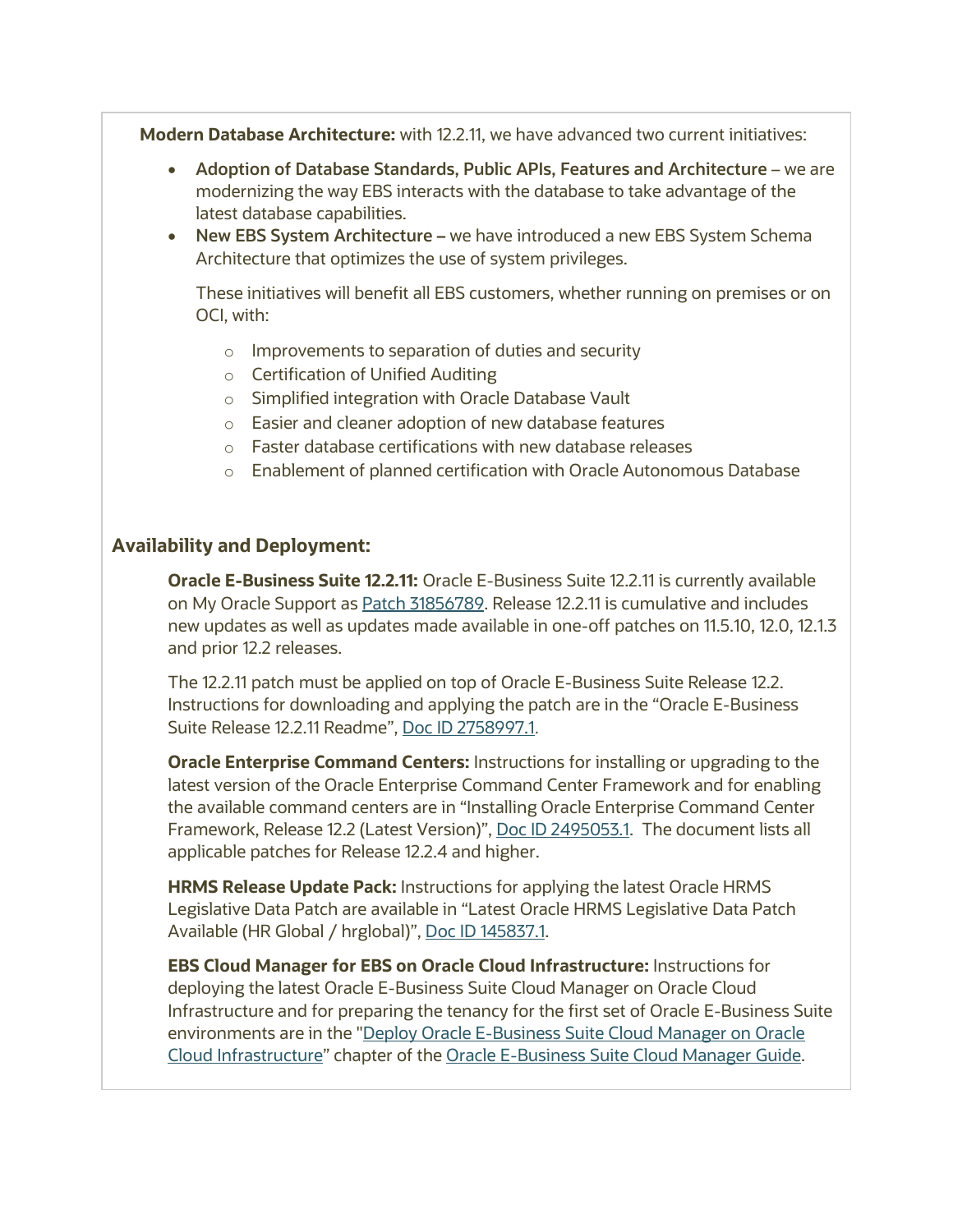**Modern Database Architecture:** with 12.2.11, we have advanced two current initiatives:

- **Adoption of Database Standards, Public APIs, Features and Architecture** we are modernizing the way EBS interacts with the database to take advantage of the latest database capabilities.
- **New EBS System Architecture –** we have introduced a new EBS System Schema Architecture that optimizes the use of system privileges.

These initiatives will benefit all EBS customers, whether running on premises or on OCI, with:

- o Improvements to separation of duties and security
- o Certification of Unified Auditing
- o Simplified integration with Oracle Database Vault
- o Easier and cleaner adoption of new database features
- o Faster database certifications with new database releases
- o Enablement of planned certification with Oracle Autonomous Database

#### **Availability and Deployment:**

**Oracle E-Business Suite 12.2.11:** Oracle E-Business Suite 12.2.11 is currently available on My Oracle Support as [Patch 31856789.](https://support.oracle.com/rs?type=patch&id=31856789) Release 12.2.11 is cumulative and includes new updates as well as updates made available in one-off patches on 11.5.10, 12.0, 12.1.3 and prior 12.2 releases.

The 12.2.11 patch must be applied on top of Oracle E-Business Suite Release 12.2. Instructions for downloading and applying the patch are in the "Oracle E-Business Suite Release 12.2.11 Readme", [Doc ID 2758997.1](https://support.oracle.com/rs?type=doc&id=2758997.1).

**Oracle Enterprise Command Centers:** Instructions for installing or upgrading to the latest version of the Oracle Enterprise Command Center Framework and for enabling the available command centers are in "Installing Oracle Enterprise Command Center Framework, Release 12.2 (Latest Version)", [Doc ID 2495053.1.](https://support.oracle.com/rs?type=doc&id=2495053.1) The document lists all applicable patches for Release 12.2.4 and higher.

**HRMS Release Update Pack:** Instructions for applying the latest Oracle HRMS Legislative Data Patch are available in "Latest Oracle HRMS Legislative Data Patch Available (HR Global / hrglobal)", [Doc ID 145837.1.](https://support.oracle.com/rs?type=doc&id=145837.1)

**EBS Cloud Manager for EBS on Oracle Cloud Infrastructure:** Instructions for deploying the latest Oracle E-Business Suite Cloud Manager on Oracle Cloud Infrastructure and for preparing the tenancy for the first set of Oracle E-Business Suite environments are in the ["Deploy Oracle E-Business Suite Cloud Manager on Oracle](https://docs.oracle.com/cd/E26401_01/doc.122/f35809/T679330T679339.htm)  [Cloud Infrastructure"](https://docs.oracle.com/cd/E26401_01/doc.122/f35809/T679330T679339.htm) chapter of the [Oracle E-Business Suite Cloud Manager Guide.](https://docs.oracle.com/cd/E26401_01/doc.122/f35809/toc.htm)